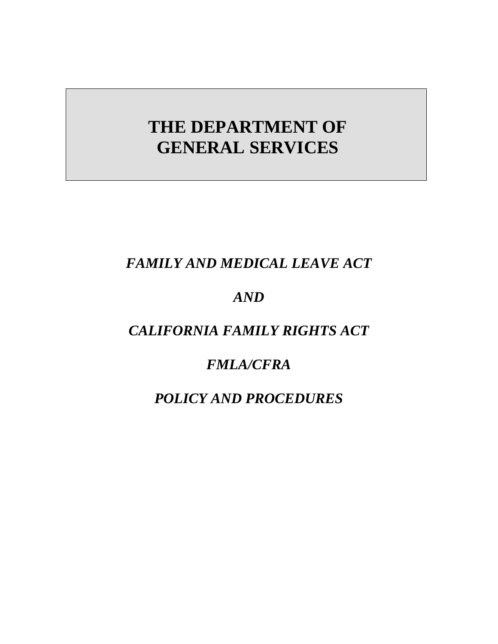# **THE DEPARTMENT OF GENERAL SERVICES**

# *FAMILY AND MEDICAL LEAVE ACT*

# *AND*

# *CALIFORNIA FAMILY RIGHTS ACT*

# *FMLA/CFRA*

# *POLICY AND PROCEDURES*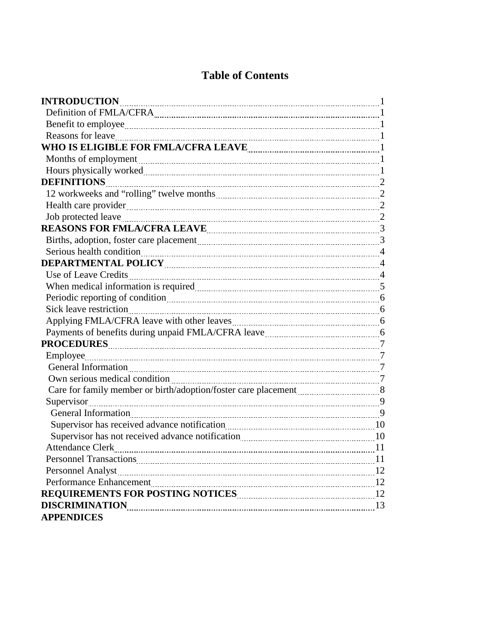# **Table of Contents**

| <b>INTRODUCTION</b>                                                                                                                                                                                                                  |    |
|--------------------------------------------------------------------------------------------------------------------------------------------------------------------------------------------------------------------------------------|----|
|                                                                                                                                                                                                                                      |    |
|                                                                                                                                                                                                                                      |    |
|                                                                                                                                                                                                                                      |    |
|                                                                                                                                                                                                                                      |    |
|                                                                                                                                                                                                                                      |    |
|                                                                                                                                                                                                                                      |    |
| DEFINITIONS 22                                                                                                                                                                                                                       |    |
|                                                                                                                                                                                                                                      |    |
| Health care provider 2000 and 2000 and 2000 and 2000 and 2000 and 2000 and 2000 and 2000 and 2000 and 2000 and 2000 and 2000 and 2000 and 2000 and 2000 and 2000 and 2000 and 2000 and 2000 and 2000 and 2000 and 2000 and 200       |    |
|                                                                                                                                                                                                                                      |    |
| REASONS FOR FMLA/CFRA LEAVE <b>MARIOR</b> 23 MHz                                                                                                                                                                                     |    |
|                                                                                                                                                                                                                                      |    |
|                                                                                                                                                                                                                                      |    |
|                                                                                                                                                                                                                                      |    |
|                                                                                                                                                                                                                                      |    |
|                                                                                                                                                                                                                                      |    |
| Periodic reporting of condition manuscription of the condition of the condition of the condition of the condition of the condition of the condition of the condition of the condition of the condition of the condition of the       |    |
| Sick leave restriction <u>manual contract of the set of the set of the set of the set of the set of the set of the set of the set of the set of the set of the set of the set of the set of the set of the set of the set of the</u> |    |
|                                                                                                                                                                                                                                      |    |
|                                                                                                                                                                                                                                      |    |
|                                                                                                                                                                                                                                      |    |
|                                                                                                                                                                                                                                      |    |
|                                                                                                                                                                                                                                      |    |
|                                                                                                                                                                                                                                      |    |
| Care for family member or birth/adoption/foster care placement 38                                                                                                                                                                    |    |
| Supervisor 99                                                                                                                                                                                                                        |    |
|                                                                                                                                                                                                                                      |    |
|                                                                                                                                                                                                                                      |    |
| Supervisor has not received advance notification <b>manually contained</b> and 10                                                                                                                                                    |    |
| <b>Attendance Clerk</b>                                                                                                                                                                                                              | 11 |
| <b>Personnel Transactions</b>                                                                                                                                                                                                        | 11 |
|                                                                                                                                                                                                                                      |    |
|                                                                                                                                                                                                                                      |    |
|                                                                                                                                                                                                                                      |    |
| <b>DISCRIMINATION</b>                                                                                                                                                                                                                |    |
| <b>APPENDICES</b>                                                                                                                                                                                                                    |    |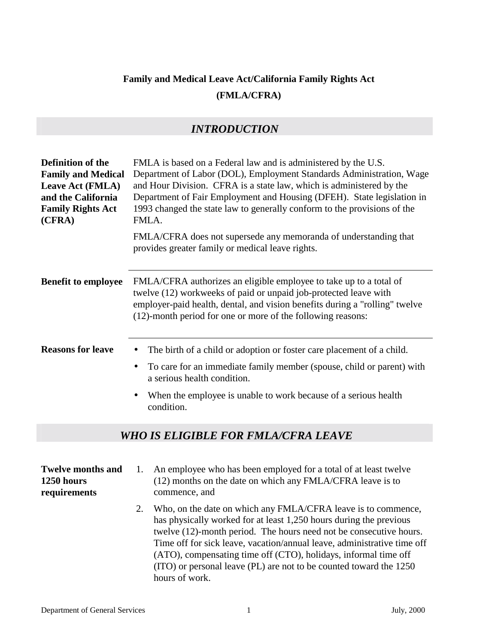# **Family and Medical Leave Act/California Family Rights Act (FMLA/CFRA)**

### *INTRODUCTION*

| Definition of the<br><b>Family and Medical</b><br>Leave Act (FMLA)<br>and the California<br><b>Family Rights Act</b><br>(CFRA) | FMLA is based on a Federal law and is administered by the U.S.<br>Department of Labor (DOL), Employment Standards Administration, Wage<br>and Hour Division. CFRA is a state law, which is administered by the<br>Department of Fair Employment and Housing (DFEH). State legislation in<br>1993 changed the state law to generally conform to the provisions of the<br>FMLA.<br>FMLA/CFRA does not supersede any memoranda of understanding that<br>provides greater family or medical leave rights.                                                                                        |  |  |  |
|--------------------------------------------------------------------------------------------------------------------------------|----------------------------------------------------------------------------------------------------------------------------------------------------------------------------------------------------------------------------------------------------------------------------------------------------------------------------------------------------------------------------------------------------------------------------------------------------------------------------------------------------------------------------------------------------------------------------------------------|--|--|--|
| <b>Benefit to employee</b>                                                                                                     | FMLA/CFRA authorizes an eligible employee to take up to a total of<br>twelve (12) workweeks of paid or unpaid job-protected leave with<br>employer-paid health, dental, and vision benefits during a "rolling" twelve<br>(12)-month period for one or more of the following reasons:                                                                                                                                                                                                                                                                                                         |  |  |  |
| <b>Reasons for leave</b>                                                                                                       | The birth of a child or adoption or foster care placement of a child.<br>$\bullet$<br>To care for an immediate family member (spouse, child or parent) with<br>$\bullet$<br>a serious health condition.<br>When the employee is unable to work because of a serious health<br>$\bullet$<br>condition.                                                                                                                                                                                                                                                                                        |  |  |  |
|                                                                                                                                | <b>WHO IS ELIGIBLE FOR FMLA/CFRA LEAVE</b>                                                                                                                                                                                                                                                                                                                                                                                                                                                                                                                                                   |  |  |  |
| <b>Twelve months and</b><br>1250 hours<br>requirements                                                                         | An employee who has been employed for a total of at least twelve<br>1.<br>(12) months on the date on which any FMLA/CFRA leave is to<br>commence, and<br>Who, on the date on which any FMLA/CFRA leave is to commence,<br>2.<br>has physically worked for at least 1,250 hours during the previous<br>twelve (12)-month period. The hours need not be consecutive hours.<br>Time off for sick leave, vacation/annual leave, administrative time off<br>(ATO), compensating time off (CTO), holidays, informal time off<br>(ITO) or personal leave (PL) are not to be counted toward the 1250 |  |  |  |

hours of work.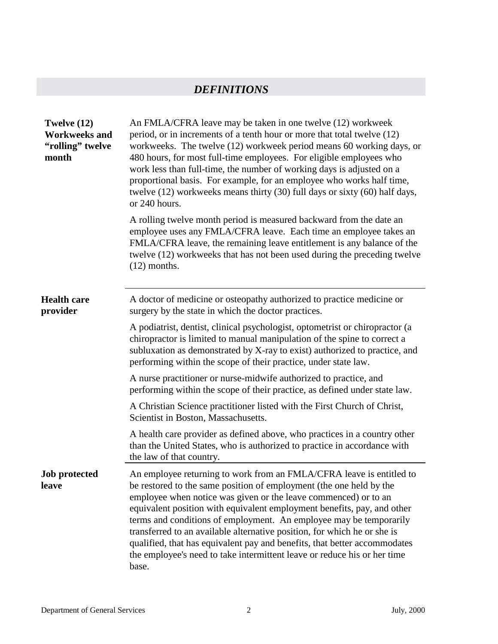## *DEFINITIONS*

| Twelve (12)<br><b>Workweeks and</b><br>"rolling" twelve<br>month | An FMLA/CFRA leave may be taken in one twelve (12) workweek<br>period, or in increments of a tenth hour or more that total twelve (12)<br>workweeks. The twelve (12) workweek period means 60 working days, or<br>480 hours, for most full-time employees. For eligible employees who<br>work less than full-time, the number of working days is adjusted on a<br>proportional basis. For example, for an employee who works half time,<br>twelve (12) workweeks means thirty (30) full days or sixty (60) half days,<br>or 240 hours.                                                                        |  |  |
|------------------------------------------------------------------|---------------------------------------------------------------------------------------------------------------------------------------------------------------------------------------------------------------------------------------------------------------------------------------------------------------------------------------------------------------------------------------------------------------------------------------------------------------------------------------------------------------------------------------------------------------------------------------------------------------|--|--|
|                                                                  | A rolling twelve month period is measured backward from the date an<br>employee uses any FMLA/CFRA leave. Each time an employee takes an<br>FMLA/CFRA leave, the remaining leave entitlement is any balance of the<br>twelve (12) workweeks that has not been used during the preceding twelve<br>$(12)$ months.                                                                                                                                                                                                                                                                                              |  |  |
| <b>Health care</b><br>provider                                   | A doctor of medicine or osteopathy authorized to practice medicine or<br>surgery by the state in which the doctor practices.                                                                                                                                                                                                                                                                                                                                                                                                                                                                                  |  |  |
|                                                                  | A podiatrist, dentist, clinical psychologist, optometrist or chiropractor (a<br>chiropractor is limited to manual manipulation of the spine to correct a<br>subluxation as demonstrated by X-ray to exist) authorized to practice, and<br>performing within the scope of their practice, under state law.                                                                                                                                                                                                                                                                                                     |  |  |
|                                                                  | A nurse practitioner or nurse-midwife authorized to practice, and<br>performing within the scope of their practice, as defined under state law.                                                                                                                                                                                                                                                                                                                                                                                                                                                               |  |  |
|                                                                  | A Christian Science practitioner listed with the First Church of Christ,<br>Scientist in Boston, Massachusetts.                                                                                                                                                                                                                                                                                                                                                                                                                                                                                               |  |  |
|                                                                  | A health care provider as defined above, who practices in a country other<br>than the United States, who is authorized to practice in accordance with<br>the law of that country.                                                                                                                                                                                                                                                                                                                                                                                                                             |  |  |
| <b>Job protected</b><br>leave                                    | An employee returning to work from an FMLA/CFRA leave is entitled to<br>be restored to the same position of employment (the one held by the<br>employee when notice was given or the leave commenced) or to an<br>equivalent position with equivalent employment benefits, pay, and other<br>terms and conditions of employment. An employee may be temporarily<br>transferred to an available alternative position, for which he or she is<br>qualified, that has equivalent pay and benefits, that better accommodates<br>the employee's need to take intermittent leave or reduce his or her time<br>base. |  |  |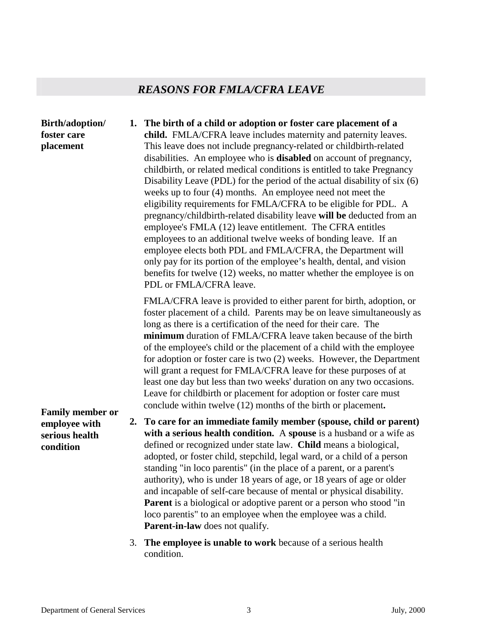# *REASONS FOR FMLA/CFRA LEAVE*

| Birth/adoption/<br>foster care<br>placement  |    | 1. The birth of a child or adoption or foster care placement of a<br>child. FMLA/CFRA leave includes maternity and paternity leaves.<br>This leave does not include pregnancy-related or childbirth-related<br>disabilities. An employee who is <b>disabled</b> on account of pregnancy,<br>childbirth, or related medical conditions is entitled to take Pregnancy<br>Disability Leave (PDL) for the period of the actual disability of six (6)<br>weeks up to four (4) months. An employee need not meet the<br>eligibility requirements for FMLA/CFRA to be eligible for PDL. A<br>pregnancy/childbirth-related disability leave will be deducted from an<br>employee's FMLA (12) leave entitlement. The CFRA entitles<br>employees to an additional twelve weeks of bonding leave. If an<br>employee elects both PDL and FMLA/CFRA, the Department will<br>only pay for its portion of the employee's health, dental, and vision<br>benefits for twelve (12) weeks, no matter whether the employee is on<br>PDL or FMLA/CFRA leave. |
|----------------------------------------------|----|-----------------------------------------------------------------------------------------------------------------------------------------------------------------------------------------------------------------------------------------------------------------------------------------------------------------------------------------------------------------------------------------------------------------------------------------------------------------------------------------------------------------------------------------------------------------------------------------------------------------------------------------------------------------------------------------------------------------------------------------------------------------------------------------------------------------------------------------------------------------------------------------------------------------------------------------------------------------------------------------------------------------------------------------|
| <b>Family member or</b>                      |    | FMLA/CFRA leave is provided to either parent for birth, adoption, or<br>foster placement of a child. Parents may be on leave simultaneously as<br>long as there is a certification of the need for their care. The<br>minimum duration of FMLA/CFRA leave taken because of the birth<br>of the employee's child or the placement of a child with the employee<br>for adoption or foster care is two $(2)$ weeks. However, the Department<br>will grant a request for FMLA/CFRA leave for these purposes of at<br>least one day but less than two weeks' duration on any two occasions.<br>Leave for childbirth or placement for adoption or foster care must<br>conclude within twelve (12) months of the birth or placement.                                                                                                                                                                                                                                                                                                           |
| employee with<br>serious health<br>condition | 2. | To care for an immediate family member (spouse, child or parent)<br>with a serious health condition. A spouse is a husband or a wife as<br>defined or recognized under state law. Child means a biological,<br>adopted, or foster child, stepchild, legal ward, or a child of a person<br>standing "in loco parentis" (in the place of a parent, or a parent's<br>authority), who is under 18 years of age, or 18 years of age or older<br>and incapable of self-care because of mental or physical disability.<br><b>Parent</b> is a biological or adoptive parent or a person who stood "in<br>loco parentis" to an employee when the employee was a child.<br>Parent-in-law does not qualify.                                                                                                                                                                                                                                                                                                                                        |
|                                              | 3. | The employee is unable to work because of a serious health<br>condition.                                                                                                                                                                                                                                                                                                                                                                                                                                                                                                                                                                                                                                                                                                                                                                                                                                                                                                                                                                |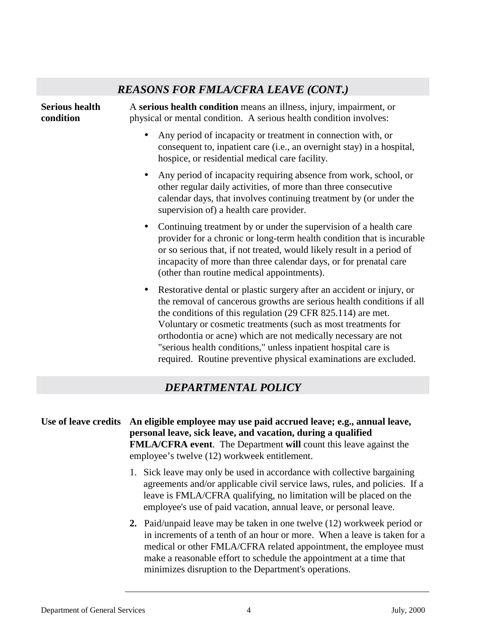## *REASONS FOR FMLA/CFRA LEAVE (CONT.)* **Serious health condition**  A **serious health condition** means an illness, injury, impairment, or physical or mental condition. A serious health condition involves: • Any period of incapacity or treatment in connection with, or consequent to, inpatient care (i.e., an overnight stay) in a hospital, hospice, or residential medical care facility. • Any period of incapacity requiring absence from work, school, or other regular daily activities, of more than three consecutive calendar days, that involves continuing treatment by (or under the supervision of) a health care provider. • Continuing treatment by or under the supervision of a health care provider for a chronic or long-term health condition that is incurable or so serious that, if not treated, would likely result in a period of incapacity of more than three calendar days, or for prenatal care (other than routine medical appointments). • Restorative dental or plastic surgery after an accident or injury, or the removal of cancerous growths are serious health conditions if all the conditions of this regulation (29 CFR 825.114) are met. Voluntary or cosmetic treatments (such as most treatments for orthodontia or acne) which are not medically necessary are not "serious health conditions," unless inpatient hospital care is required. Routine preventive physical examinations are excluded. *DEPARTMENTAL POLICY* **Use of leave credits An eligible employee may use paid accrued leave; e.g., annual leave, personal leave, sick leave, and vacation, during a qualified FMLA/CFRA event**. The Department **will** count this leave against the employee's twelve (12) workweek entitlement.

- 1. Sick leave may only be used in accordance with collective bargaining agreements and/or applicable civil service laws, rules, and policies. If a leave is FMLA/CFRA qualifying, no limitation will be placed on the employee's use of paid vacation, annual leave, or personal leave.
- **2.** Paid/unpaid leave may be taken in one twelve (12) workweek period or in increments of a tenth of an hour or more. When a leave is taken for a medical or other FMLA/CFRA related appointment, the employee must make a reasonable effort to schedule the appointment at a time that minimizes disruption to the Department's operations.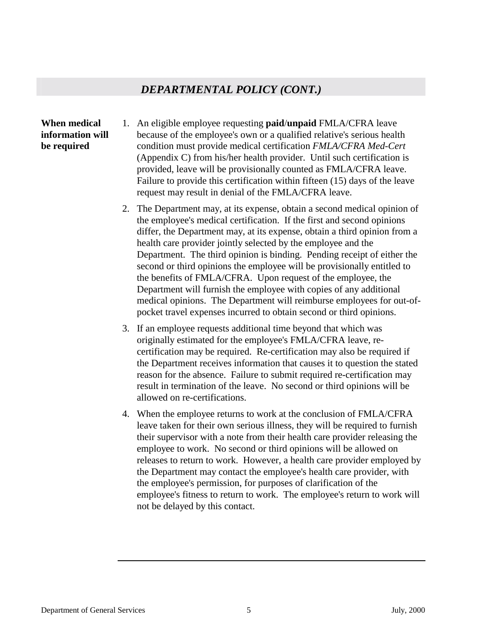#### *DEPARTMENTAL POLICY (CONT.)*

#### **When medical information will be required**

- 1. An eligible employee requesting **paid**/**unpaid** FMLA/CFRA leave because of the employee's own or a qualified relative's serious health condition must provide medical certification *FMLA/CFRA Med-Cert*  (Appendix C) from his/her health provider. Until such certification is provided, leave will be provisionally counted as FMLA/CFRA leave. Failure to provide this certification within fifteen (15) days of the leave request may result in denial of the FMLA/CFRA leave.
	- 2. The Department may, at its expense, obtain a second medical opinion of the employee's medical certification. If the first and second opinions differ, the Department may, at its expense, obtain a third opinion from a health care provider jointly selected by the employee and the Department. The third opinion is binding. Pending receipt of either the second or third opinions the employee will be provisionally entitled to the benefits of FMLA/CFRA. Upon request of the employee, the Department will furnish the employee with copies of any additional medical opinions. The Department will reimburse employees for out-ofpocket travel expenses incurred to obtain second or third opinions.
	- 3. If an employee requests additional time beyond that which was originally estimated for the employee's FMLA/CFRA leave, recertification may be required. Re-certification may also be required if the Department receives information that causes it to question the stated reason for the absence. Failure to submit required re-certification may result in termination of the leave. No second or third opinions will be allowed on re-certifications.
	- 4. When the employee returns to work at the conclusion of FMLA/CFRA leave taken for their own serious illness, they will be required to furnish their supervisor with a note from their health care provider releasing the employee to work. No second or third opinions will be allowed on releases to return to work. However, a health care provider employed by the Department may contact the employee's health care provider, with the employee's permission, for purposes of clarification of the employee's fitness to return to work. The employee's return to work will not be delayed by this contact.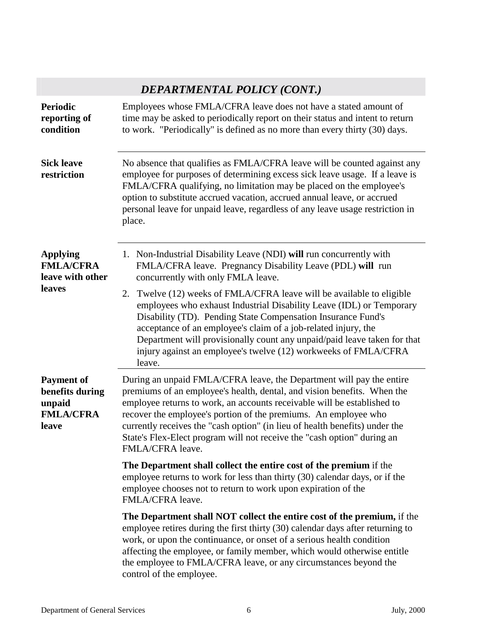# *DEPARTMENTAL POLICY (CONT.)*

| <b>Periodic</b><br>reporting of<br>condition                                | Employees whose FMLA/CFRA leave does not have a stated amount of<br>time may be asked to periodically report on their status and intent to return<br>to work. "Periodically" is defined as no more than every thirty (30) days.                                                                                                                                                                                                                                             |  |  |  |
|-----------------------------------------------------------------------------|-----------------------------------------------------------------------------------------------------------------------------------------------------------------------------------------------------------------------------------------------------------------------------------------------------------------------------------------------------------------------------------------------------------------------------------------------------------------------------|--|--|--|
| <b>Sick leave</b><br>restriction                                            | No absence that qualifies as FMLA/CFRA leave will be counted against any<br>employee for purposes of determining excess sick leave usage. If a leave is<br>FMLA/CFRA qualifying, no limitation may be placed on the employee's<br>option to substitute accrued vacation, accrued annual leave, or accrued<br>personal leave for unpaid leave, regardless of any leave usage restriction in<br>place.                                                                        |  |  |  |
| <b>Applying</b><br><b>FMLA/CFRA</b><br>leave with other                     | 1. Non-Industrial Disability Leave (NDI) will run concurrently with<br>FMLA/CFRA leave. Pregnancy Disability Leave (PDL) will run<br>concurrently with only FMLA leave.                                                                                                                                                                                                                                                                                                     |  |  |  |
| leaves                                                                      | 2. Twelve (12) weeks of FMLA/CFRA leave will be available to eligible<br>employees who exhaust Industrial Disability Leave (IDL) or Temporary<br>Disability (TD). Pending State Compensation Insurance Fund's<br>acceptance of an employee's claim of a job-related injury, the<br>Department will provisionally count any unpaid/paid leave taken for that<br>injury against an employee's twelve (12) workweeks of FMLA/CFRA<br>leave.                                    |  |  |  |
| <b>Payment of</b><br>benefits during<br>unpaid<br><b>FMLA/CFRA</b><br>leave | During an unpaid FMLA/CFRA leave, the Department will pay the entire<br>premiums of an employee's health, dental, and vision benefits. When the<br>employee returns to work, an accounts receivable will be established to<br>recover the employee's portion of the premiums. An employee who<br>currently receives the "cash option" (in lieu of health benefits) under the<br>State's Flex-Elect program will not receive the "cash option" during an<br>FMLA/CFRA leave. |  |  |  |
|                                                                             | The Department shall collect the entire cost of the premium if the<br>employee returns to work for less than thirty (30) calendar days, or if the<br>employee chooses not to return to work upon expiration of the<br>FMLA/CFRA leave.                                                                                                                                                                                                                                      |  |  |  |
|                                                                             | The Department shall NOT collect the entire cost of the premium, if the<br>employee retires during the first thirty (30) calendar days after returning to<br>work, or upon the continuance, or onset of a serious health condition<br>affecting the employee, or family member, which would otherwise entitle<br>the employee to FMLA/CFRA leave, or any circumstances beyond the<br>control of the employee.                                                               |  |  |  |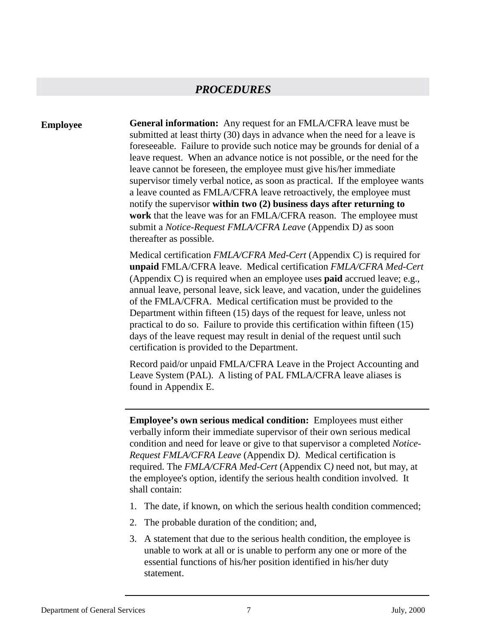**Employee General information:** Any request for an FMLA/CFRA leave must be submitted at least thirty (30) days in advance when the need for a leave is foreseeable. Failure to provide such notice may be grounds for denial of a leave request. When an advance notice is not possible, or the need for the leave cannot be foreseen, the employee must give his/her immediate supervisor timely verbal notice, as soon as practical. If the employee wants a leave counted as FMLA/CFRA leave retroactively, the employee must notify the supervisor **within two (2) business days after returning to work** that the leave was for an FMLA/CFRA reason. The employee must submit a *Notice-Request FMLA/CFRA Leave* (Appendix D*)* as soon thereafter as possible.

> Medical certification *FMLA/CFRA Med-Cert* (Appendix C) is required for **unpaid** FMLA/CFRA leave. Medical certification *FMLA/CFRA Med-Cert*  (Appendix C) is required when an employee uses **paid** accrued leave; e.g., annual leave, personal leave, sick leave, and vacation, under the guidelines of the FMLA/CFRA. Medical certification must be provided to the Department within fifteen (15) days of the request for leave, unless not practical to do so. Failure to provide this certification within fifteen (15) days of the leave request may result in denial of the request until such certification is provided to the Department.

Record paid/or unpaid FMLA/CFRA Leave in the Project Accounting and Leave System (PAL). A listing of PAL FMLA/CFRA leave aliases is found in Appendix E.

**Employee's own serious medical condition:** Employees must either verbally inform their immediate supervisor of their own serious medical condition and need for leave or give to that supervisor a completed *Notice-Request FMLA/CFRA Leave* (Appendix D*)*. Medical certification is required. The *FMLA/CFRA Med-Cert* (Appendix C*)* need not, but may, at the employee's option, identify the serious health condition involved. It shall contain:

- 1. The date, if known, on which the serious health condition commenced;
- 2. The probable duration of the condition; and,
- 3. A statement that due to the serious health condition, the employee is unable to work at all or is unable to perform any one or more of the essential functions of his/her position identified in his/her duty statement.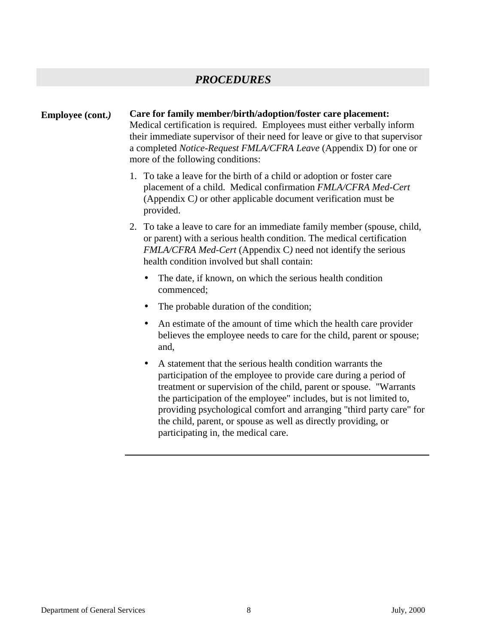#### **Employee (cont.***)* **Care for family member/birth/adoption/foster care placement:**

Medical certification is required. Employees must either verbally inform their immediate supervisor of their need for leave or give to that supervisor a completed *Notice-Request FMLA/CFRA Leave* (Appendix D) for one or more of the following conditions:

- 1. To take a leave for the birth of a child or adoption or foster care placement of a child. Medical confirmation *FMLA/CFRA Med-Cert*  (Appendix C*)* or other applicable document verification must be provided.
- 2. To take a leave to care for an immediate family member (spouse, child, or parent) with a serious health condition. The medical certification *FMLA/CFRA Med-Cert* (Appendix C*)* need not identify the serious health condition involved but shall contain:
	- The date, if known, on which the serious health condition commenced;
	- The probable duration of the condition;
	- An estimate of the amount of time which the health care provider believes the employee needs to care for the child, parent or spouse; and,
	- A statement that the serious health condition warrants the participation of the employee to provide care during a period of treatment or supervision of the child, parent or spouse. "Warrants the participation of the employee" includes, but is not limited to, providing psychological comfort and arranging "third party care" for the child, parent, or spouse as well as directly providing, or participating in, the medical care.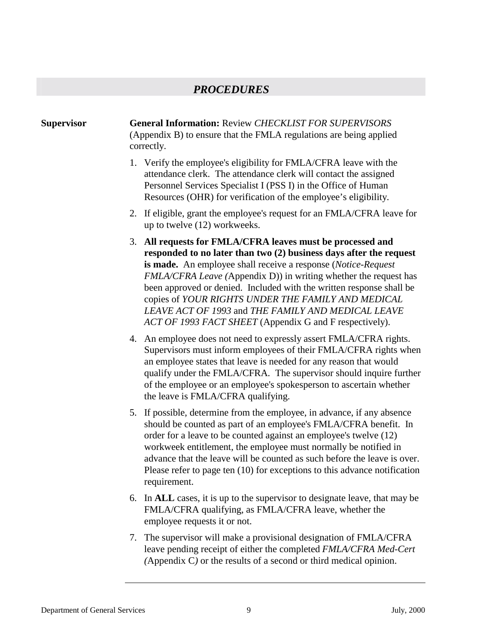#### **Supervisor General Information:** Review *CHECKLIST FOR SUPERVISORS* (Appendix B) to ensure that the FMLA regulations are being applied correctly. 1. Verify the employee's eligibility for FMLA/CFRA leave with the attendance clerk. The attendance clerk will contact the assigned Personnel Services Specialist I (PSS I) in the Office of Human Resources (OHR) for verification of the employee's eligibility. 2. If eligible, grant the employee's request for an FMLA/CFRA leave for up to twelve (12) workweeks. 3. **All requests for FMLA/CFRA leaves must be processed and responded to no later than two (2) business days after the request is made.** An employee shall receive a response (*Notice-Request FMLA/CFRA Leave (*Appendix D)) in writing whether the request has been approved or denied. Included with the written response shall be copies of *YOUR RIGHTS UNDER THE FAMILY AND MEDICAL LEAVE ACT OF 1993* and *THE FAMILY AND MEDICAL LEAVE ACT OF 1993 FACT SHEET* (Appendix G and F respectively). 4. An employee does not need to expressly assert FMLA/CFRA rights. Supervisors must inform employees of their FMLA/CFRA rights when an employee states that leave is needed for any reason that would qualify under the FMLA/CFRA*.* The supervisor should inquire further of the employee or an employee's spokesperson to ascertain whether the leave is FMLA/CFRA qualifying. 5. If possible, determine from the employee, in advance, if any absence should be counted as part of an employee's FMLA/CFRA benefit. In order for a leave to be counted against an employee's twelve (12) workweek entitlement, the employee must normally be notified in advance that the leave will be counted as such before the leave is over. Please refer to page ten (10) for exceptions to this advance notification requirement. 6. In **ALL** cases, it is up to the supervisor to designate leave, that may be FMLA/CFRA qualifying, as FMLA/CFRA leave, whether the employee requests it or not. 7. The supervisor will make a provisional designation of FMLA/CFRA leave pending receipt of either the completed *FMLA/CFRA Med-Cert*

*(*Appendix C*)* or the results of a second or third medical opinion.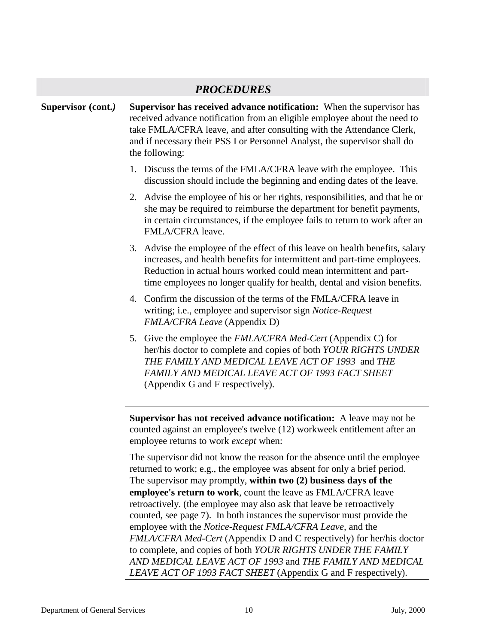|                    | <b>PROCEDURES</b>                                                                                                                                                                                                                                                                                                                                                   |
|--------------------|---------------------------------------------------------------------------------------------------------------------------------------------------------------------------------------------------------------------------------------------------------------------------------------------------------------------------------------------------------------------|
| Supervisor (cont.) | Supervisor has received advance notification: When the supervisor has<br>received advance notification from an eligible employee about the need to<br>take FMLA/CFRA leave, and after consulting with the Attendance Clerk,<br>and if necessary their PSS I or Personnel Analyst, the supervisor shall do<br>the following:                                         |
|                    | 1. Discuss the terms of the FMLA/CFRA leave with the employee. This<br>discussion should include the beginning and ending dates of the leave.                                                                                                                                                                                                                       |
|                    | 2. Advise the employee of his or her rights, responsibilities, and that he or<br>she may be required to reimburse the department for benefit payments,<br>in certain circumstances, if the employee fails to return to work after an<br>FMLA/CFRA leave.                                                                                                            |
|                    | 3. Advise the employee of the effect of this leave on health benefits, salary<br>increases, and health benefits for intermittent and part-time employees.<br>Reduction in actual hours worked could mean intermittent and part-<br>time employees no longer qualify for health, dental and vision benefits.                                                         |
|                    | 4. Confirm the discussion of the terms of the FMLA/CFRA leave in<br>writing; i.e., employee and supervisor sign Notice-Request<br><b>FMLA/CFRA Leave (Appendix D)</b>                                                                                                                                                                                               |
|                    | 5. Give the employee the <i>FMLA/CFRA Med-Cert</i> (Appendix C) for<br>her/his doctor to complete and copies of both YOUR RIGHTS UNDER<br>THE FAMILY AND MEDICAL LEAVE ACT OF 1993 and THE<br>FAMILY AND MEDICAL LEAVE ACT OF 1993 FACT SHEET<br>(Appendix G and F respectively).                                                                                   |
|                    | Supervisor has not received advance notification: A leave may not be<br>counted against an employee's twelve (12) workweek entitlement after an<br>employee returns to work <i>except</i> when:                                                                                                                                                                     |
|                    | The supervisor did not know the reason for the absence until the employee<br>returned to work; e.g., the employee was absent for only a brief period.<br>The supervisor may promptly, within two (2) business days of the<br>employee's return to work, count the leave as FMLA/CFRA leave<br>retroactively. (the employee may also ask that leave be retroactively |

counted, see page 7). In both instances the supervisor must provide the employee with the *Notice-Request FMLA/CFRA Leave,* and the *FMLA/CFRA Med-Cert* (Appendix D and C respectively) for her/his doctor to complete, and copies of both *YOUR RIGHTS UNDER THE FAMILY AND MEDICAL LEAVE ACT OF 1993* and *THE FAMILY AND MEDICAL LEAVE ACT OF 1993 FACT SHEET* (Appendix G and F respectively).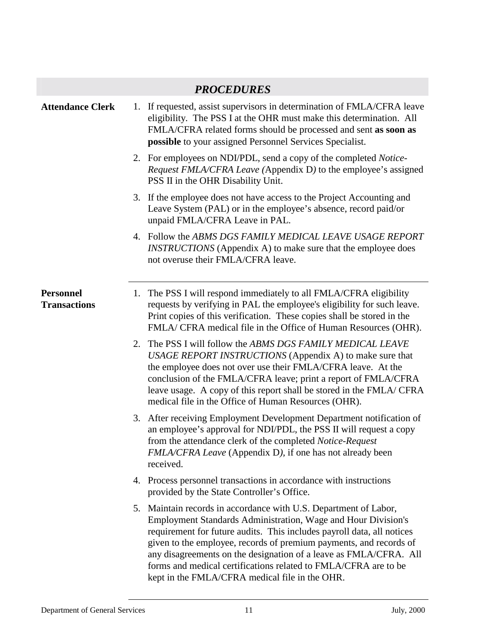|                                         | <b>PROCEDURES</b>                                                                                                                                                                                                                                                                                                                                                                                                                                                                  |
|-----------------------------------------|------------------------------------------------------------------------------------------------------------------------------------------------------------------------------------------------------------------------------------------------------------------------------------------------------------------------------------------------------------------------------------------------------------------------------------------------------------------------------------|
| <b>Attendance Clerk</b>                 | 1. If requested, assist supervisors in determination of FMLA/CFRA leave<br>eligibility. The PSS I at the OHR must make this determination. All<br>FMLA/CFRA related forms should be processed and sent as soon as<br><b>possible</b> to your assigned Personnel Services Specialist.                                                                                                                                                                                               |
|                                         | 2. For employees on NDI/PDL, send a copy of the completed <i>Notice</i> -<br><i>Request FMLA/CFRA Leave</i> (Appendix D) to the employee's assigned<br>PSS II in the OHR Disability Unit.                                                                                                                                                                                                                                                                                          |
|                                         | 3. If the employee does not have access to the Project Accounting and<br>Leave System (PAL) or in the employee's absence, record paid/or<br>unpaid FMLA/CFRA Leave in PAL.                                                                                                                                                                                                                                                                                                         |
|                                         | 4. Follow the ABMS DGS FAMILY MEDICAL LEAVE USAGE REPORT<br><b>INSTRUCTIONS</b> (Appendix A) to make sure that the employee does<br>not overuse their FMLA/CFRA leave.                                                                                                                                                                                                                                                                                                             |
| <b>Personnel</b><br><b>Transactions</b> | 1. The PSS I will respond immediately to all FMLA/CFRA eligibility<br>requests by verifying in PAL the employee's eligibility for such leave.<br>Print copies of this verification. These copies shall be stored in the<br>FMLA/ CFRA medical file in the Office of Human Resources (OHR).                                                                                                                                                                                         |
|                                         | 2. The PSS I will follow the ABMS DGS FAMILY MEDICAL LEAVE<br>USAGE REPORT INSTRUCTIONS (Appendix A) to make sure that<br>the employee does not over use their FMLA/CFRA leave. At the<br>conclusion of the FMLA/CFRA leave; print a report of FMLA/CFRA<br>leave usage. A copy of this report shall be stored in the FMLA/ CFRA<br>medical file in the Office of Human Resources (OHR).                                                                                           |
|                                         | 3. After receiving Employment Development Department notification of<br>an employee's approval for NDI/PDL, the PSS II will request a copy<br>from the attendance clerk of the completed Notice-Request<br>FMLA/CFRA Leave (Appendix D), if one has not already been<br>received.                                                                                                                                                                                                  |
|                                         | 4. Process personnel transactions in accordance with instructions<br>provided by the State Controller's Office.                                                                                                                                                                                                                                                                                                                                                                    |
|                                         | 5. Maintain records in accordance with U.S. Department of Labor,<br><b>Employment Standards Administration, Wage and Hour Division's</b><br>requirement for future audits. This includes payroll data, all notices<br>given to the employee, records of premium payments, and records of<br>any disagreements on the designation of a leave as FMLA/CFRA. All<br>forms and medical certifications related to FMLA/CFRA are to be<br>kept in the FMLA/CFRA medical file in the OHR. |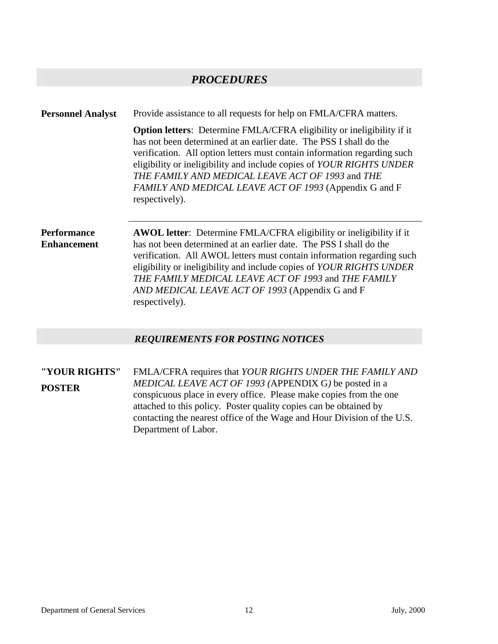**Personnel Analyst** Provide assistance to all requests for help on FMLA/CFRA matters.

**Option letters**: Determine FMLA/CFRA eligibility or ineligibility if it has not been determined at an earlier date. The PSS I shall do the verification. All option letters must contain information regarding such eligibility or ineligibility and include copies of *YOUR RIGHTS UNDER THE FAMILY AND MEDICAL LEAVE ACT OF 1993* and *THE FAMILY AND MEDICAL LEAVE ACT OF 1993* (Appendix G and F respectively).

**Performance Enhancement**  **AWOL letter**: Determine FMLA/CFRA eligibility or ineligibility if it has not been determined at an earlier date. The PSS I shall do the verification. All AWOL letters must contain information regarding such eligibility or ineligibility and include copies of *YOUR RIGHTS UNDER THE FAMILY MEDICAL LEAVE ACT OF 1993* and *THE FAMILY AND MEDICAL LEAVE ACT OF 1993* (Appendix G and F respectively).

#### *REQUIREMENTS FOR POSTING NOTICES*

**"YOUR RIGHTS" POSTER** FMLA/CFRA requires that *YOUR RIGHTS UNDER THE FAMILY AND MEDICAL LEAVE ACT OF 1993 (*APPENDIX G*)* be posted in a conspicuous place in every office. Please make copies from the one attached to this policy. Poster quality copies can be obtained by contacting the nearest office of the Wage and Hour Division of the U.S. Department of Labor.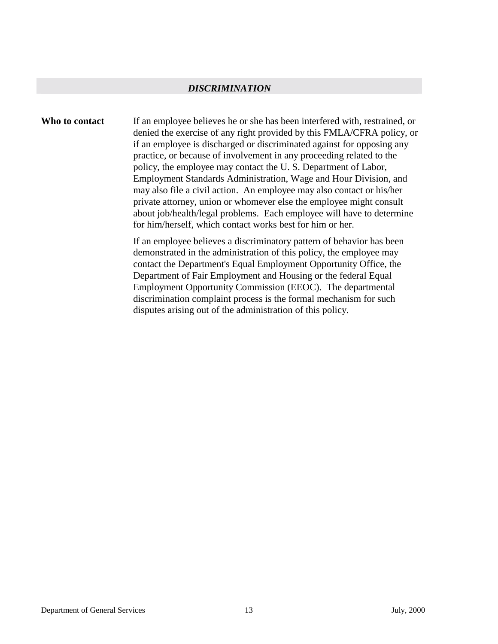#### *DISCRIMINATION*

**Who to contact** If an employee believes he or she has been interfered with, restrained, or denied the exercise of any right provided by this FMLA/CFRA policy, or if an employee is discharged or discriminated against for opposing any practice, or because of involvement in any proceeding related to the policy, the employee may contact the U. S. Department of Labor, Employment Standards Administration, Wage and Hour Division, and may also file a civil action. An employee may also contact or his/her private attorney, union or whomever else the employee might consult about job/health/legal problems. Each employee will have to determine for him/herself, which contact works best for him or her.

> If an employee believes a discriminatory pattern of behavior has been demonstrated in the administration of this policy, the employee may contact the Department's Equal Employment Opportunity Office, the Department of Fair Employment and Housing or the federal Equal Employment Opportunity Commission (EEOC). The departmental discrimination complaint process is the formal mechanism for such disputes arising out of the administration of this policy.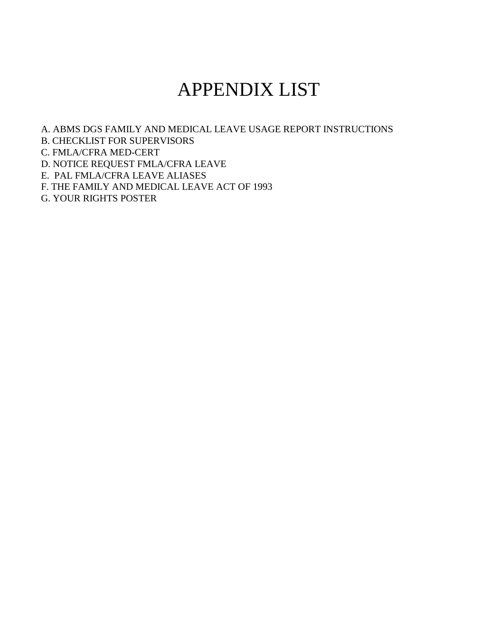# APPENDIX LIST

A. ABMS DGS FAMILY AND MEDICAL LEAVE USAGE REPORT INSTRUCTIONS B. CHECKLIST FOR SUPERVISORS C. FMLA/CFRA MED-CERT D. NOTICE REQUEST FMLA/CFRA LEAVE E. PAL FMLA/CFRA LEAVE ALIASES F. THE FAMILY AND MEDICAL LEAVE ACT OF 1993

G. YOUR RIGHTS POSTER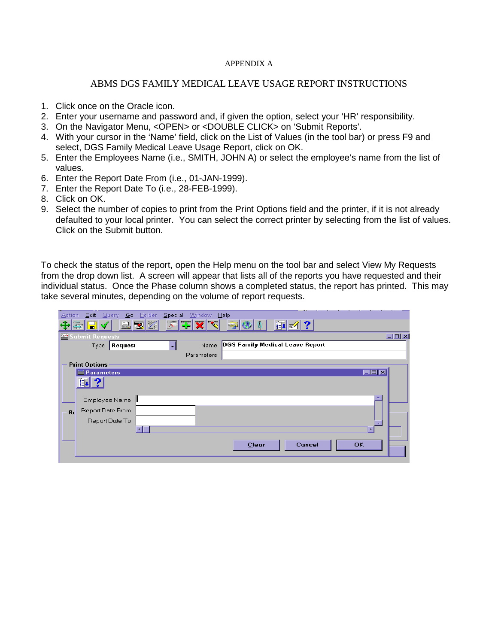#### APPENDIX A

#### ABMS DGS FAMILY MEDICAL LEAVE USAGE REPORT INSTRUCTIONS

- 1. Click once on the Oracle icon.
- 2. Enter your username and password and, if given the option, select your 'HR' responsibility.
- 3. On the Navigator Menu, <OPEN> or <DOUBLE CLICK> on 'Submit Reports'.
- 4. With your cursor in the 'Name' field, click on the List of Values (in the tool bar) or press F9 and select, DGS Family Medical Leave Usage Report, click on OK.
- 5. Enter the Employees Name (i.e., SMITH, JOHN A) or select the employee's name from the list of values.
- 6. Enter the Report Date From (i.e., 01-JAN-1999).
- 7. Enter the Report Date To (i.e., 28-FEB-1999).
- 8. Click on OK.
- 9. Select the number of copies to print from the Print Options field and the printer, if it is not already defaulted to your local printer. You can select the correct printer by selecting from the list of values. Click on the Submit button.

To check the status of the report, open the Help menu on the tool bar and select View My Requests from the drop down list. A screen will appear that lists all of the reports you have requested and their individual status. Once the Phase column shows a completed status, the report has printed. This may take several minutes, depending on the volume of report requests.

| <b>Action</b><br>Edit<br>Folder<br>Query<br>Go ∶ | Special<br>Window         | Help                                                       |                   |
|--------------------------------------------------|---------------------------|------------------------------------------------------------|-------------------|
| $\mathbb{Z}$<br>电<br>3d<br>國                     | 医医<br>$ \nabla $ $\infty$ | 印 ?<br>$\begin{matrix} \hat{\mathbf{u}} \end{matrix}$<br>ş |                   |
| <b>2021</b> Submit Requests                      |                           |                                                            | $\Box$ D $\times$ |
| Request<br>Type                                  | Name<br>∼∣                | <b>DGS Family Medical Leave Report</b>                     |                   |
|                                                  | Parameters                |                                                            |                   |
| <b>Print Options</b>                             |                           |                                                            |                   |
| <b>Parameters</b>                                |                           |                                                            | <b>EDX</b>        |
| 眮<br>$\mathbf{P}$                                |                           |                                                            |                   |
| Employee Name                                    |                           |                                                            |                   |
| Report Date From<br>Ru                           |                           |                                                            |                   |
| Report Date To                                   |                           |                                                            |                   |
|                                                  |                           |                                                            |                   |
|                                                  |                           |                                                            |                   |
|                                                  |                           | Cancel<br>Clear                                            | <b>OK</b>         |
|                                                  |                           |                                                            |                   |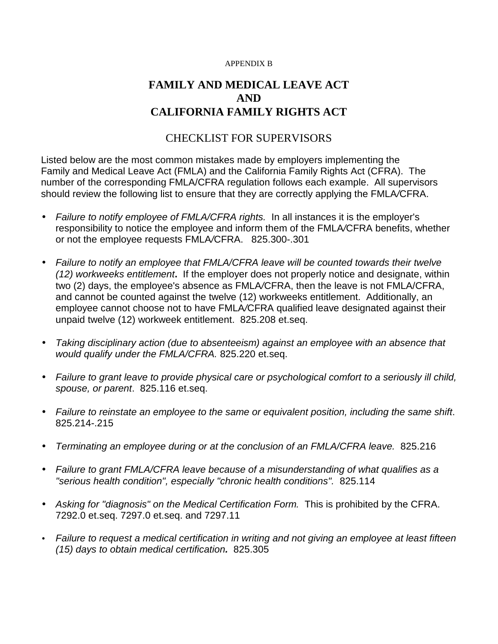#### APPENDIX B

## **FAMILY AND MEDICAL LEAVE ACT AND CALIFORNIA FAMILY RIGHTS ACT**

#### CHECKLIST FOR SUPERVISORS

Listed below are the most common mistakes made by employers implementing the Family and Medical Leave Act (FMLA) and the California Family Rights Act (CFRA). The number of the corresponding FMLA/CFRA regulation follows each example. All supervisors should review the following list to ensure that they are correctly applying the FMLA*/*CFRA.

- *Failure to notify employee of FMLA/CFRA rights.* In all instances it is the employer's responsibility to notice the employee and inform them of the FMLA*/*CFRA benefits, whether or not the employee requests FMLA*/*CFRA. 825.300-.301
- *Failure to notify an employee that FMLA/CFRA leave will be counted towards their twelve (12) workweeks entitlement***.** If the employer does not properly notice and designate, within two (2) days, the employee's absence as FMLA*/*CFRA, then the leave is not FMLA/CFRA, and cannot be counted against the twelve (12) workweeks entitlement. Additionally, an employee cannot choose not to have FMLA*/*CFRA qualified leave designated against their unpaid twelve (12) workweek entitlement. 825.208 et.seq.
- *Taking disciplinary action (due to absenteeism) against an employee with an absence that would qualify under the FMLA/CFRA.* 825.220 et.seq.
- *Failure to grant leave to provide physical care or psychological comfort to a seriously ill child, spouse, or parent*. 825.116 et.seq.
- *Failure to reinstate an employee to the same or equivalent position, including the same shift*. 825.214-.215
- *Terminating an employee during or at the conclusion of an FMLA/CFRA leave.* 825.216
- *Failure to grant FMLA/CFRA leave because of a misunderstanding of what qualifies as a "serious health condition", especially "chronic health conditions".* 825.114
- Asking for "diagnosis" on the Medical Certification Form. This is prohibited by the CFRA. 7292.0 et.seq. 7297.0 et.seq. and 7297.11
- *Failure to request a medical certification in writing and not giving an employee at least fifteen (15) days to obtain medical certification.* 825.305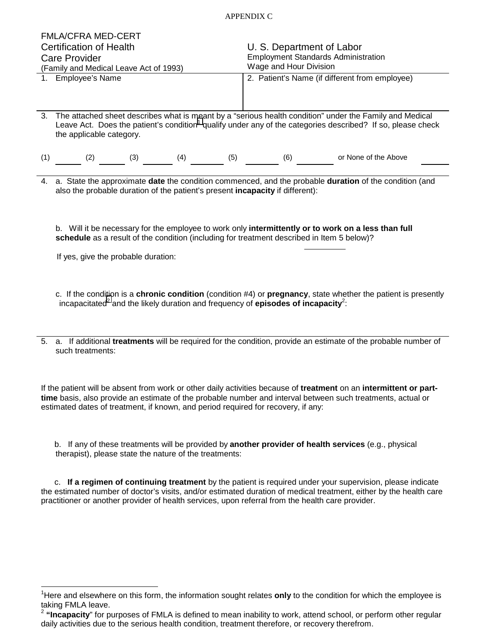#### APPENDIX C

|                                        | <b>FMLA/CFRA MED-CERT</b>                                                                                                                           |  |                                            |                                                |  |
|----------------------------------------|-----------------------------------------------------------------------------------------------------------------------------------------------------|--|--------------------------------------------|------------------------------------------------|--|
| <b>Certification of Health</b>         |                                                                                                                                                     |  | U. S. Department of Labor                  |                                                |  |
| <b>Care Provider</b>                   |                                                                                                                                                     |  | <b>Employment Standards Administration</b> |                                                |  |
| (Family and Medical Leave Act of 1993) |                                                                                                                                                     |  | Wage and Hour Division                     |                                                |  |
|                                        | 1. Employee's Name                                                                                                                                  |  |                                            | 2. Patient's Name (if different from employee) |  |
|                                        |                                                                                                                                                     |  |                                            |                                                |  |
|                                        |                                                                                                                                                     |  |                                            |                                                |  |
|                                        | 3. The attached sheet describes what is meant by a "serious health condition" under the Family and Medical                                          |  |                                            |                                                |  |
|                                        | Leave Act. Does the patient's condition <sup>1</sup> qualify under any of the categories described? If so, please check<br>the applicable category. |  |                                            |                                                |  |
|                                        |                                                                                                                                                     |  |                                            |                                                |  |
|                                        | $(1)$ (2) (3) (4) (5) (5) (6)                                                                                                                       |  |                                            | or None of the Above                           |  |
|                                        |                                                                                                                                                     |  |                                            |                                                |  |
|                                        | 4. a. State the approximate date the condition commenced, and the probable duration of the condition (and                                           |  |                                            |                                                |  |
|                                        | also the probable duration of the patient's present incapacity if different):                                                                       |  |                                            |                                                |  |
|                                        |                                                                                                                                                     |  |                                            |                                                |  |
|                                        |                                                                                                                                                     |  |                                            |                                                |  |
|                                        | b. Will it be necessary for the employee to work only intermittently or to work on a less than full                                                 |  |                                            |                                                |  |
|                                        | schedule as a result of the condition (including for treatment described in Item 5 below)?                                                          |  |                                            |                                                |  |
|                                        |                                                                                                                                                     |  |                                            |                                                |  |
|                                        |                                                                                                                                                     |  |                                            |                                                |  |
|                                        | If yes, give the probable duration:                                                                                                                 |  |                                            |                                                |  |
|                                        |                                                                                                                                                     |  |                                            |                                                |  |
|                                        |                                                                                                                                                     |  |                                            |                                                |  |
|                                        | c. If the condition is a chronic condition (condition #4) or pregnancy, state whether the patient is presently                                      |  |                                            |                                                |  |
|                                        | incapacitated <sup>2</sup> and the likely duration and frequency of <b>episodes of incapacity</b> <sup>2</sup> :                                    |  |                                            |                                                |  |
|                                        |                                                                                                                                                     |  |                                            |                                                |  |
|                                        |                                                                                                                                                     |  |                                            |                                                |  |
| 5.                                     | a. If additional treatments will be required for the condition, provide an estimate of the probable number of                                       |  |                                            |                                                |  |
|                                        | such treatments:                                                                                                                                    |  |                                            |                                                |  |
|                                        |                                                                                                                                                     |  |                                            |                                                |  |

If the patient will be absent from work or other daily activities because of **treatment** on an **intermittent or parttime** basis, also provide an estimate of the probable number and interval between such treatments, actual or estimated dates of treatment, if known, and period required for recovery, if any:

 b. If any of these treatments will be provided by **another provider of health services** (e.g., physical therapist), please state the nature of the treatments:

 c. **If a regimen of continuing treatment** by the patient is required under your supervision, please indicate the estimated number of doctor's visits, and/or estimated duration of medical treatment, either by the health care practitioner or another provider of health services, upon referral from the health care provider.

l

<sup>&</sup>lt;sup>1</sup>Here and elsewhere on this form, the information sought relates **only** to the condition for which the employee is taking FMLA leave.

<sup>&</sup>lt;sup>2</sup> "Incapacity" for purposes of FMLA is defined to mean inability to work, attend school, or perform other regular daily activities due to the serious health condition, treatment therefore, or recovery therefrom.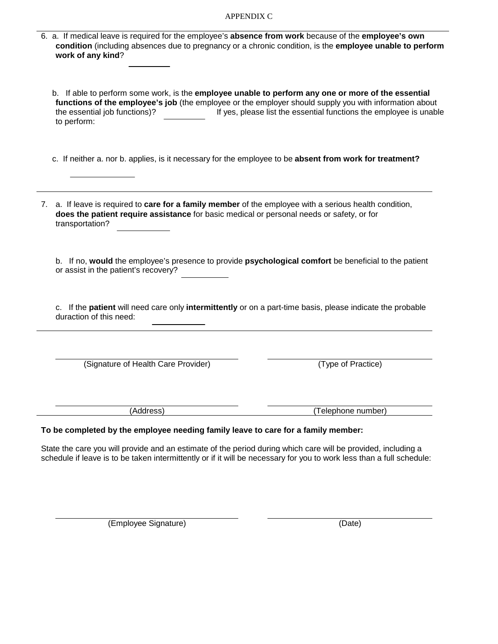| <b>APPENDIX C</b> |  |
|-------------------|--|
|-------------------|--|

| 6. a. If medical leave is required for the employee's absence from work because of the employee's own<br>condition (including absences due to pregnancy or a chronic condition, is the employee unable to perform<br>work of any kind?                        |                                                                    |
|---------------------------------------------------------------------------------------------------------------------------------------------------------------------------------------------------------------------------------------------------------------|--------------------------------------------------------------------|
| b. If able to perform some work, is the employee unable to perform any one or more of the essential<br>functions of the employee's job (the employee or the employer should supply you with information about<br>the essential job functions)?<br>to perform: | If yes, please list the essential functions the employee is unable |
| c. If neither a. nor b. applies, is it necessary for the employee to be absent from work for treatment?                                                                                                                                                       |                                                                    |
| 7. a. If leave is required to care for a family member of the employee with a serious health condition,<br>does the patient require assistance for basic medical or personal needs or safety, or for<br>transportation?                                       |                                                                    |
| b. If no, would the employee's presence to provide psychological comfort be beneficial to the patient<br>or assist in the patient's recovery?                                                                                                                 |                                                                    |
| c. If the patient will need care only intermittently or on a part-time basis, please indicate the probable<br>duraction of this need:                                                                                                                         |                                                                    |
| (Signature of Health Care Provider)                                                                                                                                                                                                                           | (Type of Practice)                                                 |
| (Address)                                                                                                                                                                                                                                                     | (Telephone number)                                                 |
| To be completed by the employee needing family leave to care for a family member:                                                                                                                                                                             |                                                                    |
| State the care you will provide and an estimate of the period during which care will be provided, including a<br>schedule if leave is to be taken intermittently or if it will be necessary for you to work less than a full schedule:                        |                                                                    |

(Employee Signature) (Date)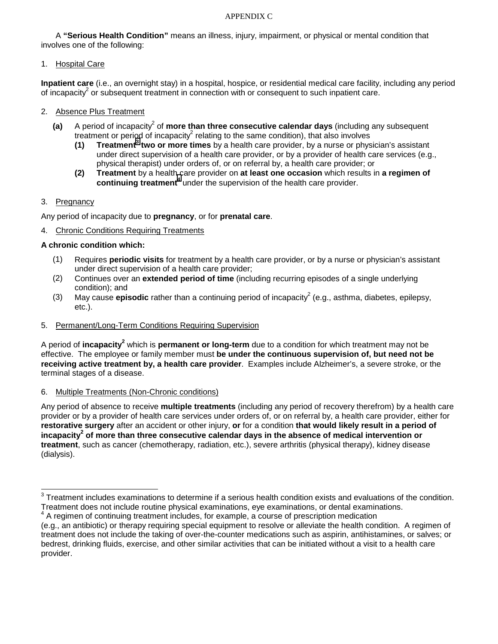#### APPENDIX C

A **"Serious Health Condition"** means an illness, injury, impairment, or physical or mental condition that involves one of the following:

1. Hospital Care

**Inpatient care** (i.e., an overnight stay) in a hospital, hospice, or residential medical care facility, including any period of incapacity<sup>2</sup> or subsequent treatment in connection with or consequent to such inpatient care.

- 2. Absence Plus Treatment
- (a) A period of incapacity<sup>2</sup> of more than three consecutive calendar days (including any subsequent treatment or period of incapacity<sup>2</sup> relating to the same condition), that also involves
- **(1) Treatment<sup>3</sup> two or more times** by a health care provider, by a nurse or physician's assistant under direct supervision of a health care provider, or by a provider of health care services (e.g., physical therapist) under orders of, or on referral by, a health care provider; or
	- **(2) Treatment** by a health care provider on **at least one occasion** which results in **a regimen of**  continuing treatment<sup>4</sup> under the supervision of the health care provider.

#### 3. Pregnancy

l

Any period of incapacity due to **pregnancy**, or for **prenatal care**.

4. Chronic Conditions Requiring Treatments

#### **A chronic condition which:**

- (1) Requires **periodic visits** for treatment by a health care provider, or by a nurse or physician's assistant under direct supervision of a health care provider;
- (2) Continues over an **extended period of time** (including recurring episodes of a single underlying condition); and
- (3) May cause **episodic** rather than a continuing period of incapacity<sup>2</sup> (e.g., asthma, diabetes, epilepsy, etc.).
- 5. Permanent/Long-Term Conditions Requiring Supervision

A period of *incapacity<sup>2</sup>* which is **permanent or long-term** due to a condition for which treatment may not be effective. The employee or family member must **be under the continuous supervision of, but need not be receiving active treatment by, a health care provider**. Examples include Alzheimer's, a severe stroke, or the terminal stages of a disease.

#### 6. Multiple Treatments (Non-Chronic conditions)

Any period of absence to receive **multiple treatments** (including any period of recovery therefrom) by a health care provider or by a provider of health care services under orders of, or on referral by, a health care provider, either for **restorative surgery** after an accident or other injury, **or** for a condition **that would likely result in a period of**  incapacity<sup>2</sup> of more than three consecutive calendar days in the absence of medical intervention or **treatment**, such as cancer (chemotherapy, radiation, etc.), severe arthritis (physical therapy), kidney disease (dialysis).

 $3$  Treatment includes examinations to determine if a serious health condition exists and evaluations of the condition. Treatment does not include routine physical examinations, eye examinations, or dental examinations.

<sup>4</sup> A regimen of continuing treatment includes, for example, a course of prescription medication

<sup>(</sup>e.g., an antibiotic) or therapy requiring special equipment to resolve or alleviate the health condition. A regimen of treatment does not include the taking of over-the-counter medications such as aspirin, antihistamines, or salves; or bedrest, drinking fluids, exercise, and other similar activities that can be initiated without a visit to a health care provider.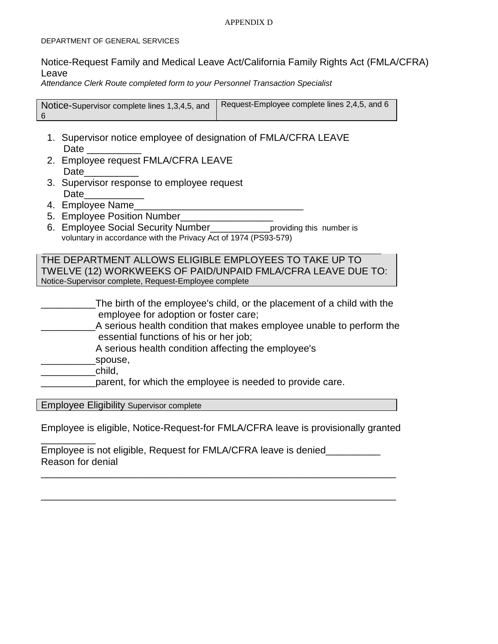#### APPENDIX D

#### DEPARTMENT OF GENERAL SERVICES

#### Notice-Request Family and Medical Leave Act/California Family Rights Act (FMLA/CFRA) Leave

*Attendance Clerk Route completed form to your Personnel Transaction Specialist* 

Notice-Supervisor complete lines 1,3,4,5, and 6 Request-Employee complete lines 2,4,5, and 6

- 1. Supervisor notice employee of designation of FMLA/CFRA LEAVE Date \_\_\_\_\_\_\_\_\_\_
- 2. Employee request FMLA/CFRA LEAVE Date\_\_\_\_\_\_\_\_\_\_
- 3. Supervisor response to employee request Date\_\_\_\_\_\_\_\_\_\_\_
- 4. Employee Name
- 5. Employee Position Number
- 6. Employee Social Security Number\_\_\_\_\_\_\_\_\_\_\_providing this number is voluntary in accordance with the Privacy Act of 1974 (PS93-579)

THE DEPARTMENT ALLOWS ELIGIBLE EMPLOYEES TO TAKE UP TO TWELVE (12) WORKWEEKS OF PAID/UNPAID FMLA/CFRA LEAVE DUE TO: Notice-Supervisor complete, Request-Employee complete

- \_\_\_\_\_\_\_\_\_\_The birth of the employee's child, or the placement of a child with the employee for adoption or foster care;
- A serious health condition that makes employee unable to perform the essential functions of his or her job;
	- A serious health condition affecting the employee's
- spouse,
- \_\_\_\_\_\_\_\_\_\_child,

\_\_\_\_\_\_\_\_\_\_

parent, for which the employee is needed to provide care.

Employee Eligibility Supervisor complete

Employee is eligible, Notice-Request-for FMLA/CFRA leave is provisionally granted

\_\_\_\_\_\_\_\_\_\_\_\_\_\_\_\_\_\_\_\_\_\_\_\_\_\_\_\_\_\_\_\_\_\_\_\_\_\_\_\_\_\_\_\_\_\_\_\_\_\_\_\_\_\_\_\_\_\_\_\_\_\_\_\_\_

\_\_\_\_\_\_\_\_\_\_\_\_\_\_\_\_\_\_\_\_\_\_\_\_\_\_\_\_\_\_\_\_\_\_\_\_\_\_\_\_\_\_\_\_\_\_\_\_\_\_\_\_\_\_\_\_\_\_\_\_\_\_\_\_\_

Employee is not eligible, Request for FMLA/CFRA leave is denied\_\_\_\_\_\_\_\_\_\_ Reason for denial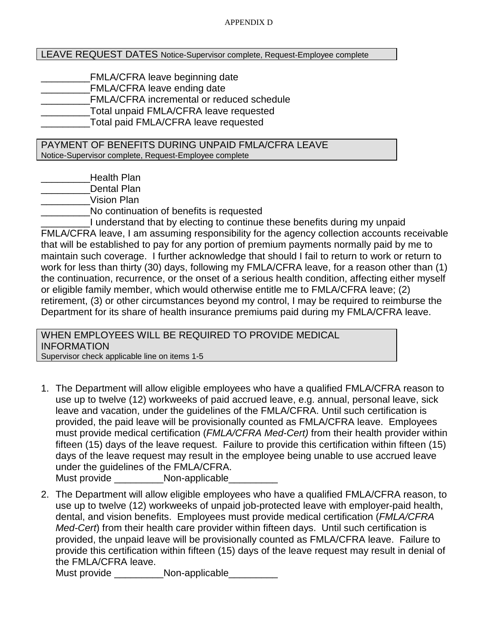#### LEAVE REQUEST DATES Notice-Supervisor complete, Request-Employee complete

FMLA/CFRA leave beginning date \_\_\_\_\_\_\_\_\_FMLA/CFRA leave ending date FMLA/CFRA incremental or reduced schedule Total unpaid FMLA/CFRA leave requested \_\_\_\_\_\_\_\_\_Total paid FMLA/CFRA leave requested

PAYMENT OF BENEFITS DURING UNPAID FMLA/CFRA LEAVE Notice-Supervisor complete, Request-Employee complete

Health Plan

Dental Plan

\_\_\_\_\_\_\_\_\_Vision Plan

\_\_\_\_\_\_\_\_\_No continuation of benefits is requested

I understand that by electing to continue these benefits during my unpaid FMLA/CFRA leave, I am assuming responsibility for the agency collection accounts receivable that will be established to pay for any portion of premium payments normally paid by me to maintain such coverage. I further acknowledge that should I fail to return to work or return to work for less than thirty (30) days, following my FMLA/CFRA leave, for a reason other than (1) the continuation, recurrence, or the onset of a serious health condition, affecting either myself or eligible family member, which would otherwise entitle me to FMLA/CFRA leave; (2) retirement, (3) or other circumstances beyond my control, I may be required to reimburse the Department for its share of health insurance premiums paid during my FMLA/CFRA leave.

WHEN EMPLOYEES WILL BE REQUIRED TO PROVIDE MEDICAL INFORMATION

Supervisor check applicable line on items 1-5

1. The Department will allow eligible employees who have a qualified FMLA/CFRA reason to use up to twelve (12) workweeks of paid accrued leave, e.g. annual, personal leave, sick leave and vacation, under the guidelines of the FMLA/CFRA. Until such certification is provided, the paid leave will be provisionally counted as FMLA/CFRA leave. Employees must provide medical certification (*FMLA/CFRA Med-Cert)* from their health provider within fifteen (15) days of the leave request. Failure to provide this certification within fifteen (15) days of the leave request may result in the employee being unable to use accrued leave under the guidelines of the FMLA/CFRA.

Must provide \_\_\_\_\_\_\_\_\_Non-applicable\_\_\_\_\_\_\_\_\_

2. The Department will allow eligible employees who have a qualified FMLA/CFRA reason, to use up to twelve (12) workweeks of unpaid job-protected leave with employer-paid health, dental, and vision benefits. Employees must provide medical certification (*FMLA/CFRA Med-Cert*) from their health care provider within fifteen days. Until such certification is provided, the unpaid leave will be provisionally counted as FMLA/CFRA leave. Failure to provide this certification within fifteen (15) days of the leave request may result in denial of the FMLA/CFRA leave.

Must provide **Non-applicable**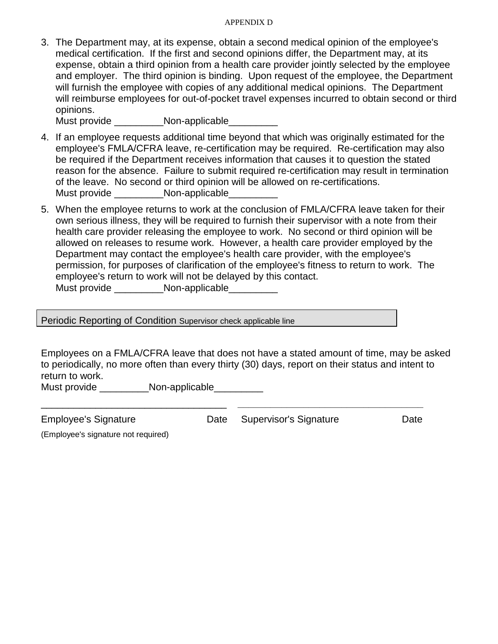#### APPENDIX D

3. The Department may, at its expense, obtain a second medical opinion of the employee's medical certification. If the first and second opinions differ, the Department may, at its expense, obtain a third opinion from a health care provider jointly selected by the employee and employer. The third opinion is binding. Upon request of the employee, the Department will furnish the employee with copies of any additional medical opinions. The Department will reimburse employees for out-of-pocket travel expenses incurred to obtain second or third opinions.

Must provide **Non-applicable** 

- 4. If an employee requests additional time beyond that which was originally estimated for the employee's FMLA/CFRA leave, re-certification may be required. Re-certification may also be required if the Department receives information that causes it to question the stated reason for the absence. Failure to submit required re-certification may result in termination of the leave. No second or third opinion will be allowed on re-certifications. Must provide \_\_\_\_\_\_\_\_\_\_Non-applicable\_\_\_\_\_\_\_
- 5. When the employee returns to work at the conclusion of FMLA/CFRA leave taken for their own serious illness, they will be required to furnish their supervisor with a note from their health care provider releasing the employee to work. No second or third opinion will be allowed on releases to resume work. However, a health care provider employed by the Department may contact the employee's health care provider, with the employee's permission, for purposes of clarification of the employee's fitness to return to work. The employee's return to work will not be delayed by this contact. Must provide \_\_\_\_\_\_\_\_\_\_\_\_\_Non-applicable\_\_\_\_\_\_\_\_\_\_\_\_

Periodic Reporting of Condition Supervisor check applicable line

Employees on a FMLA/CFRA leave that does not have a stated amount of time, may be asked to periodically, no more often than every thirty (30) days, report on their status and intent to return to work.

Must provide \_\_\_\_\_\_\_\_\_\_Non-applicable\_\_\_\_\_\_\_\_\_

Employee's Signature Date Supervisor's Signature Date

\_\_\_\_\_\_\_\_\_\_\_\_\_\_\_\_\_\_\_\_\_\_\_\_\_\_\_\_\_\_\_\_\_\_ **\_\_\_\_\_\_\_\_\_\_\_\_\_\_\_\_\_\_\_\_\_\_\_\_\_\_\_\_\_\_\_\_\_\_** 

(Employee's signature not required)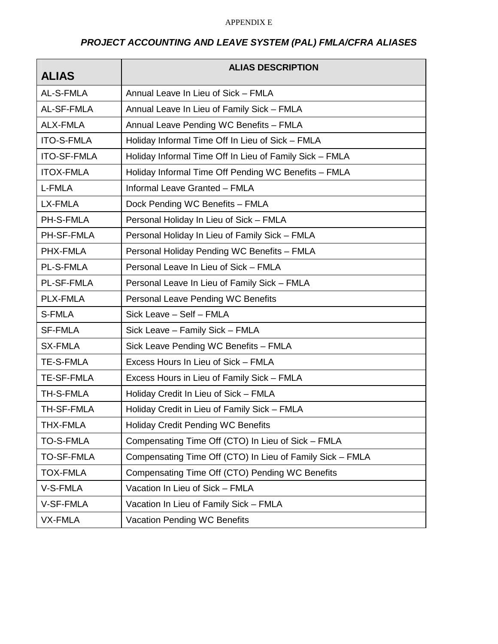#### APPENDIX E

## *PROJECT ACCOUNTING AND LEAVE SYSTEM (PAL) FMLA/CFRA ALIASES*

| <b>ALIAS</b>       | <b>ALIAS DESCRIPTION</b>                                  |
|--------------------|-----------------------------------------------------------|
| AL-S-FMLA          | Annual Leave In Lieu of Sick - FMLA                       |
| AL-SF-FMLA         | Annual Leave In Lieu of Family Sick - FMLA                |
| <b>ALX-FMLA</b>    | Annual Leave Pending WC Benefits - FMLA                   |
| <b>ITO-S-FMLA</b>  | Holiday Informal Time Off In Lieu of Sick - FMLA          |
| <b>ITO-SF-FMLA</b> | Holiday Informal Time Off In Lieu of Family Sick - FMLA   |
| <b>ITOX-FMLA</b>   | Holiday Informal Time Off Pending WC Benefits - FMLA      |
| L-FMLA             | Informal Leave Granted - FMLA                             |
| LX-FMLA            | Dock Pending WC Benefits - FMLA                           |
| <b>PH-S-FMLA</b>   | Personal Holiday In Lieu of Sick - FMLA                   |
| PH-SF-FMLA         | Personal Holiday In Lieu of Family Sick - FMLA            |
| PHX-FMLA           | Personal Holiday Pending WC Benefits - FMLA               |
| <b>PL-S-FMLA</b>   | Personal Leave In Lieu of Sick - FMLA                     |
| <b>PL-SF-FMLA</b>  | Personal Leave In Lieu of Family Sick - FMLA              |
| <b>PLX-FMLA</b>    | Personal Leave Pending WC Benefits                        |
| S-FMLA             | Sick Leave - Self - FMLA                                  |
| <b>SF-FMLA</b>     | Sick Leave - Family Sick - FMLA                           |
| <b>SX-FMLA</b>     | Sick Leave Pending WC Benefits - FMLA                     |
| <b>TE-S-FMLA</b>   | Excess Hours In Lieu of Sick - FMLA                       |
| <b>TE-SF-FMLA</b>  | Excess Hours in Lieu of Family Sick - FMLA                |
| <b>TH-S-FMLA</b>   | Holiday Credit In Lieu of Sick - FMLA                     |
| TH-SF-FMLA         | Holiday Credit in Lieu of Family Sick - FMLA              |
| THX-FMLA           | <b>Holiday Credit Pending WC Benefits</b>                 |
| <b>TO-S-FMLA</b>   | Compensating Time Off (CTO) In Lieu of Sick - FMLA        |
| <b>TO-SF-FMLA</b>  | Compensating Time Off (CTO) In Lieu of Family Sick - FMLA |
| <b>TOX-FMLA</b>    | Compensating Time Off (CTO) Pending WC Benefits           |
| V-S-FMLA           | Vacation In Lieu of Sick - FMLA                           |
| V-SF-FMLA          | Vacation In Lieu of Family Sick - FMLA                    |
| <b>VX-FMLA</b>     | Vacation Pending WC Benefits                              |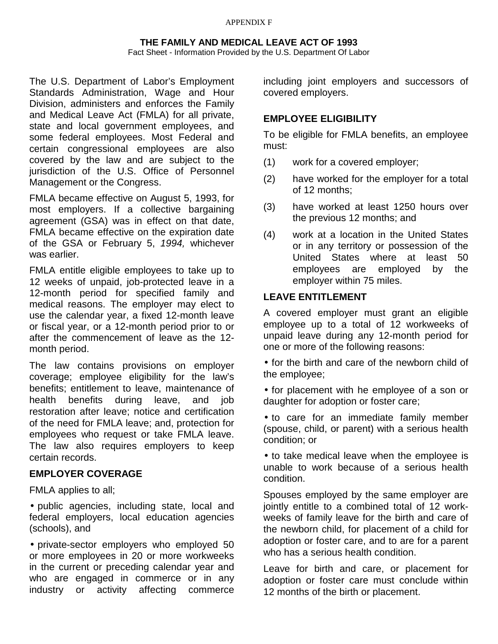#### APPENDIX F

#### **THE FAMILY AND MEDICAL LEAVE ACT OF 1993**

Fact Sheet - Information Provided by the U.S. Department Of Labor

The U.S. Department of Labor's Employment Standards Administration, Wage and Hour Division, administers and enforces the Family and Medical Leave Act (FMLA) for all private, state and local government employees, and some federal employees. Most Federal and certain congressional employees are also covered by the law and are subject to the jurisdiction of the U.S. Office of Personnel Management or the Congress.

FMLA became effective on August 5, 1993, for most employers. If a collective bargaining agreement (GSA) was in effect on that date, FMLA became effective on the expiration date of the GSA or February 5, *1994,* whichever was earlier.

FMLA entitle eligible employees to take up to 12 weeks of unpaid, job-protected leave in a 12-month period for specified family and medical reasons. The employer may elect to use the calendar year, a fixed 12-month leave or fiscal year, or a 12-month period prior to or after the commencement of leave as the 12 month period.

The law contains provisions on employer coverage; employee eligibility for the law's benefits; entitlement to leave, maintenance of health benefits during leave, and job restoration after leave; notice and certification of the need for FMLA leave; and, protection for employees who request or take FMLA leave. The law also requires employers to keep certain records.

#### **EMPLOYER COVERAGE**

FMLA applies to all;

• public agencies, including state, local and federal employers, local education agencies (schools), and

• private-sector employers who employed 50 or more employees in 20 or more workweeks in the current or preceding calendar year and who are engaged in commerce or in any industry or activity affecting commerce including joint employers and successors of covered employers.

#### **EMPLOYEE ELIGIBILITY**

To be eligible for FMLA benefits, an employee must:

- (1) work for a covered employer;
- (2) have worked for the employer for a total of 12 months;
- (3) have worked at least 1250 hours over the previous 12 months; and
- (4) work at a location in the United States or in any territory or possession of the United States where at least 50 employees are employed by the employer within 75 miles.

#### **LEAVE ENTITLEMENT**

A covered employer must grant an eligible employee up to a total of 12 workweeks of unpaid leave during any 12-month period for one or more of the following reasons:

• for the birth and care of the newborn child of the employee;

• for placement with he employee of a son or daughter for adoption or foster care;

• to care for an immediate family member (spouse, child, or parent) with a serious health condition; or

• to take medical leave when the employee is unable to work because of a serious health condition.

Spouses employed by the same employer are jointly entitle to a combined total of 12 workweeks of family leave for the birth and care of the newborn child, for placement of a child for adoption or foster care, and to are for a parent who has a serious health condition.

Leave for birth and care, or placement for adoption or foster care must conclude within 12 months of the birth or placement.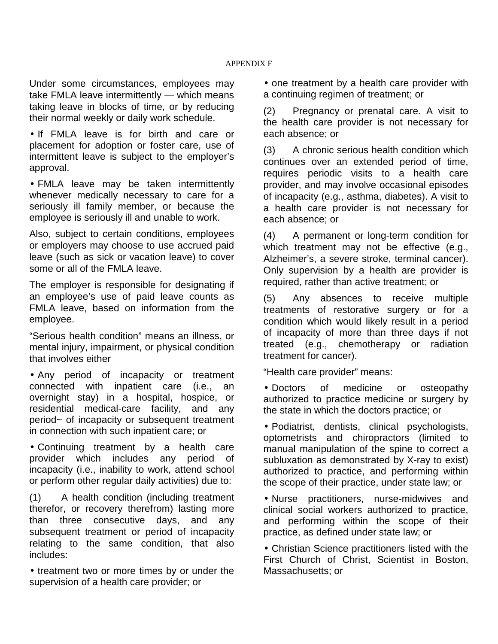Under some circumstances, employees may take FMLA leave intermittently — which means taking leave in blocks of time, or by reducing their normal weekly or daily work schedule.

• If FMLA leave is for birth and care or placement for adoption or foster care, use of intermittent leave is subject to the employer's approval.

• FMLA leave may be taken intermittently whenever medically necessary to care for a seriously ill family member, or because the employee is seriously ill and unable to work.

Also, subject to certain conditions, employees or employers may choose to use accrued paid leave (such as sick or vacation leave) to cover some or all of the FMLA leave.

The employer is responsible for designating if an employee's use of paid leave counts as FMLA leave, based on information from the employee.

"Serious health condition" means an illness, or mental injury, impairment, or physical condition that involves either

• Any period of incapacity or treatment connected with inpatient care (i.e., an overnight stay) in a hospital, hospice, or residential medical-care facility, and any period~ of incapacity or subsequent treatment in connection with such inpatient care; or

• Continuing treatment by a health care provider which includes any period of incapacity (i.e., inability to work, attend school or perform other regular daily activities) due to:

(1) A health condition (including treatment therefor, or recovery therefrom) lasting more than three consecutive days, and any subsequent treatment or period of incapacity relating to the same condition, that also includes:

• treatment two or more times by or under the supervision of a health care provider; or

• one treatment by a health care provider with a continuing regimen of treatment; or

(2) Pregnancy or prenatal care. A visit to the health care provider is not necessary for each absence; or

(3) A chronic serious health condition which continues over an extended period of time, requires periodic visits to a health care provider, and may involve occasional episodes of incapacity (e.g., asthma, diabetes). A visit to a health care provider is not necessary for each absence; or

(4) A permanent or long-term condition for which treatment may not be effective (e.g., Alzheimer's, a severe stroke, terminal cancer). Only supervision by a health are provider is required, rather than active treatment; or

(5) Any absences to receive multiple treatments of restorative surgery or for a condition which would likely result in a period of incapacity of more than three days if not treated (e.g., chemotherapy or radiation treatment for cancer).

"Health care provider" means:

• Doctors of medicine or osteopathy authorized to practice medicine or surgery by the state in which the doctors practice; or

• Podiatrist, dentists, clinical psychologists, optometrists and chiropractors (limited to manual manipulation of the spine to correct a subluxation as demonstrated by X-ray to exist) authorized to practice, and performing within the scope of their practice, under state law; or

• Nurse practitioners, nurse-midwives and clinical social workers authorized to practice, and performing within the scope of their practice, as defined under state law; or

• Christian Science practitioners listed with the First Church of Christ, Scientist in Boston, Massachusetts; or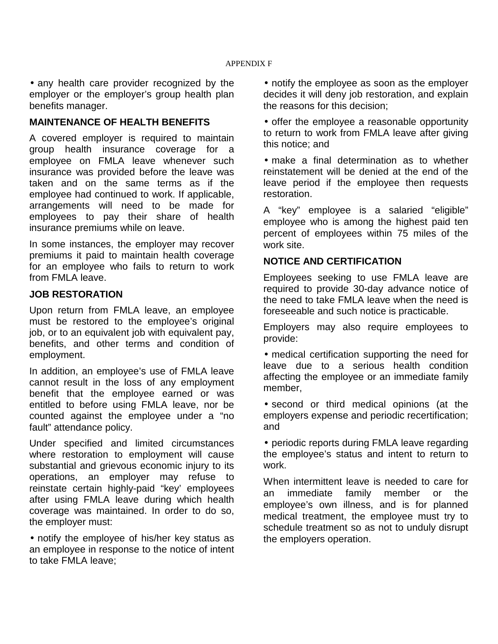• any health care provider recognized by the employer or the employer's group health plan benefits manager.

#### **MAINTENANCE OF HEALTH BENEFITS**

A covered employer is required to maintain group health insurance coverage for a employee on FMLA leave whenever such insurance was provided before the leave was taken and on the same terms as if the employee had continued to work. If applicable, arrangements will need to be made for employees to pay their share of health insurance premiums while on leave.

In some instances, the employer may recover premiums it paid to maintain health coverage for an employee who fails to return to work from FMLA leave.

#### **JOB RESTORATION**

Upon return from FMLA leave, an employee must be restored to the employee's original job, or to an equivalent job with equivalent pay, benefits, and other terms and condition of employment.

In addition, an employee's use of FMLA leave cannot result in the loss of any employment benefit that the employee earned or was entitled to before using FMLA leave, nor be counted against the employee under a "no fault" attendance policy.

Under specified and limited circumstances where restoration to employment will cause substantial and grievous economic injury to its operations, an employer may refuse to reinstate certain highly-paid "key' employees after using FMLA leave during which health coverage was maintained. In order to do so, the employer must:

• notify the employee of his/her key status as an employee in response to the notice of intent to take FMLA leave;

• notify the employee as soon as the employer decides it will deny job restoration, and explain the reasons for this decision;

• offer the employee a reasonable opportunity to return to work from FMLA leave after giving this notice; and

• make a final determination as to whether reinstatement will be denied at the end of the leave period if the employee then requests restoration.

A "key" employee is a salaried "eligible" employee who is among the highest paid ten percent of employees within 75 miles of the work site.

#### **NOTICE AND CERTIFICATION**

Employees seeking to use FMLA leave are required to provide 30-day advance notice of the need to take FMLA leave when the need is foreseeable and such notice is practicable.

Employers may also require employees to provide:

• medical certification supporting the need for leave due to a serious health condition affecting the employee or an immediate family member,

• second or third medical opinions (at the employers expense and periodic recertification; and

• periodic reports during FMLA leave regarding the employee's status and intent to return to work.

When intermittent leave is needed to care for an immediate family member or the employee's own illness, and is for planned medical treatment, the employee must try to schedule treatment so as not to unduly disrupt the employers operation.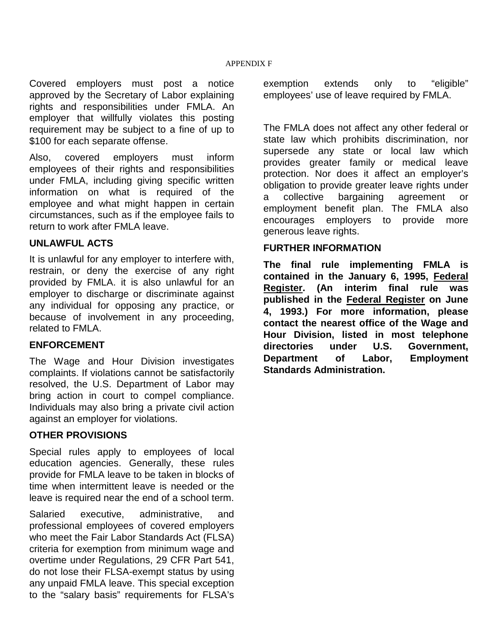Covered employers must post a notice approved by the Secretary of Labor explaining rights and responsibilities under FMLA. An employer that willfully violates this posting requirement may be subject to a fine of up to \$100 for each separate offense.

Also, covered employers must inform employees of their rights and responsibilities under FMLA, including giving specific written information on what is required of the employee and what might happen in certain circumstances, such as if the employee fails to return to work after FMLA leave.

#### **UNLAWFUL ACTS**

It is unlawful for any employer to interfere with, restrain, or deny the exercise of any right provided by FMLA. it is also unlawful for an employer to discharge or discriminate against any individual for opposing any practice, or because of involvement in any proceeding, related to FMLA.

#### **ENFORCEMENT**

The Wage and Hour Division investigates complaints. If violations cannot be satisfactorily resolved, the U.S. Department of Labor may bring action in court to compel compliance. Individuals may also bring a private civil action against an employer for violations.

#### **OTHER PROVISIONS**

Special rules apply to employees of local education agencies. Generally, these rules provide for FMLA leave to be taken in blocks of time when intermittent leave is needed or the leave is required near the end of a school term.

Salaried executive, administrative, and professional employees of covered employers who meet the Fair Labor Standards Act (FLSA) criteria for exemption from minimum wage and overtime under Regulations, 29 CFR Part 541, do not lose their FLSA-exempt status by using any unpaid FMLA leave. This special exception to the "salary basis" requirements for FLSA's

exemption extends only to "eligible" employees' use of leave required by FMLA.

The FMLA does not affect any other federal or state law which prohibits discrimination, nor supersede any state or local law which provides greater family or medical leave protection. Nor does it affect an employer's obligation to provide greater leave rights under a collective bargaining agreement or employment benefit plan. The FMLA also encourages employers to provide more generous leave rights.

#### **FURTHER INFORMATION**

**The final rule implementing FMLA is contained in the January 6, 1995, Federal Register. (An interim final rule was published in the Federal Register on June 4, 1993.) For more information, please contact the nearest office of the Wage and Hour Division, listed in most telephone directories under U.S. Government, Department of Labor, Employment Standards Administration.**